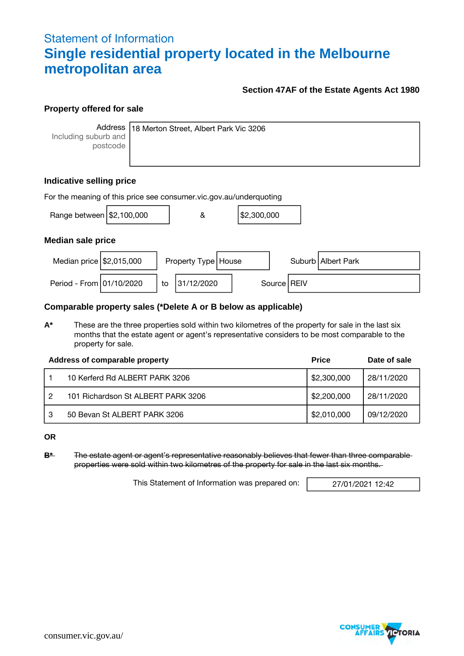# Statement of Information **Single residential property located in the Melbourne metropolitan area**

### **Section 47AF of the Estate Agents Act 1980**

#### **Property offered for sale**

**Address** Including suburb and postcode

18 Merton Street, Albert Park Vic 3206

## **Indicative selling price**

| For the meaning of this price see consumer vic gov au/underquoting |  |    |                       |  |             |  |               |                      |
|--------------------------------------------------------------------|--|----|-----------------------|--|-------------|--|---------------|----------------------|
| Range between $\frac{12,100,000}{2}$                               |  |    | &                     |  | \$2,300,000 |  |               |                      |
| <b>Median sale price</b>                                           |  |    |                       |  |             |  |               |                      |
| Median price $\frac{1}{2}$ ,015,000                                |  |    | Property Type   House |  |             |  |               | Suburb   Albert Park |
| Period - From 01/10/2020                                           |  | to | 31/12/2020            |  |             |  | Source   REIV |                      |

#### **Comparable property sales (\*Delete A or B below as applicable)**

**A\*** These are the three properties sold within two kilometres of the property for sale in the last six months that the estate agent or agent's representative considers to be most comparable to the property for sale.

|   | Address of comparable property     | <b>Price</b> | Date of sale |
|---|------------------------------------|--------------|--------------|
|   | 10 Kerferd Rd ALBERT PARK 3206     | \$2,300,000  | 28/11/2020   |
|   | 101 Richardson St ALBERT PARK 3206 | \$2,200,000  | 28/11/2020   |
| З | 50 Bevan St ALBERT PARK 3206       | \$2,010,000  | 09/12/2020   |

**OR**

**B\*** The estate agent or agent's representative reasonably believes that fewer than three comparable properties were sold within two kilometres of the property for sale in the last six months.

This Statement of Information was prepared on: 27/01/2021 12:42